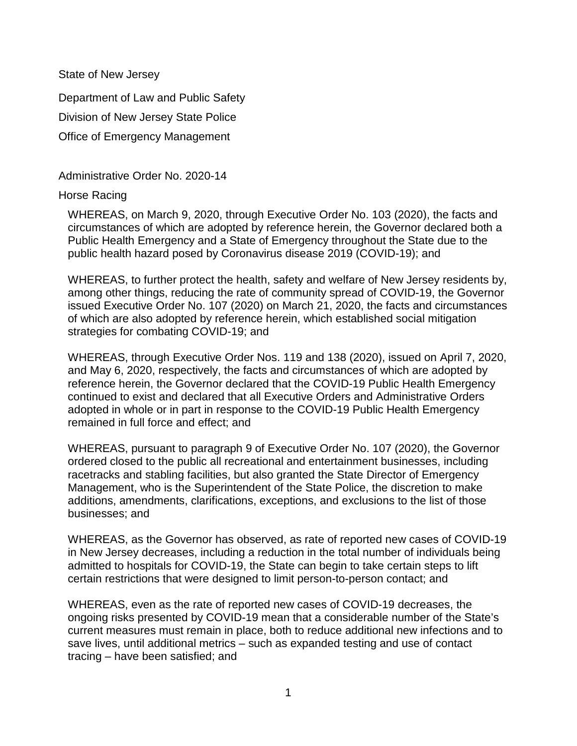State of New Jersey

Department of Law and Public Safety Division of New Jersey State Police Office of Emergency Management

Administrative Order No. 2020-14

## Horse Racing

WHEREAS, on March 9, 2020, through Executive Order No. 103 (2020), the facts and circumstances of which are adopted by reference herein, the Governor declared both a Public Health Emergency and a State of Emergency throughout the State due to the public health hazard posed by Coronavirus disease 2019 (COVID-19); and

WHEREAS, to further protect the health, safety and welfare of New Jersey residents by, among other things, reducing the rate of community spread of COVID-19, the Governor issued Executive Order No. 107 (2020) on March 21, 2020, the facts and circumstances of which are also adopted by reference herein, which established social mitigation strategies for combating COVID-19; and

WHEREAS, through Executive Order Nos. 119 and 138 (2020), issued on April 7, 2020, and May 6, 2020, respectively, the facts and circumstances of which are adopted by reference herein, the Governor declared that the COVID-19 Public Health Emergency continued to exist and declared that all Executive Orders and Administrative Orders adopted in whole or in part in response to the COVID-19 Public Health Emergency remained in full force and effect; and

WHEREAS, pursuant to paragraph 9 of Executive Order No. 107 (2020), the Governor ordered closed to the public all recreational and entertainment businesses, including racetracks and stabling facilities, but also granted the State Director of Emergency Management, who is the Superintendent of the State Police, the discretion to make additions, amendments, clarifications, exceptions, and exclusions to the list of those businesses; and

WHEREAS, as the Governor has observed, as rate of reported new cases of COVID-19 in New Jersey decreases, including a reduction in the total number of individuals being admitted to hospitals for COVID-19, the State can begin to take certain steps to lift certain restrictions that were designed to limit person-to-person contact; and

WHEREAS, even as the rate of reported new cases of COVID-19 decreases, the ongoing risks presented by COVID-19 mean that a considerable number of the State's current measures must remain in place, both to reduce additional new infections and to save lives, until additional metrics – such as expanded testing and use of contact tracing – have been satisfied; and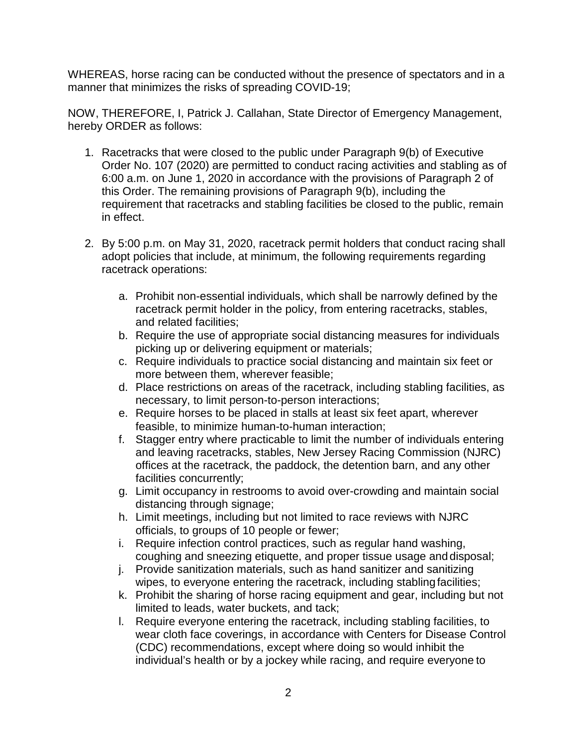WHEREAS, horse racing can be conducted without the presence of spectators and in a manner that minimizes the risks of spreading COVID-19;

NOW, THEREFORE, I, Patrick J. Callahan, State Director of Emergency Management, hereby ORDER as follows:

- 1. Racetracks that were closed to the public under Paragraph 9(b) of Executive Order No. 107 (2020) are permitted to conduct racing activities and stabling as of 6:00 a.m. on June 1, 2020 in accordance with the provisions of Paragraph 2 of this Order. The remaining provisions of Paragraph 9(b), including the requirement that racetracks and stabling facilities be closed to the public, remain in effect.
- 2. By 5:00 p.m. on May 31, 2020, racetrack permit holders that conduct racing shall adopt policies that include, at minimum, the following requirements regarding racetrack operations:
	- a. Prohibit non-essential individuals, which shall be narrowly defined by the racetrack permit holder in the policy, from entering racetracks, stables, and related facilities;
	- b. Require the use of appropriate social distancing measures for individuals picking up or delivering equipment or materials;
	- c. Require individuals to practice social distancing and maintain six feet or more between them, wherever feasible;
	- d. Place restrictions on areas of the racetrack, including stabling facilities, as necessary, to limit person-to-person interactions;
	- e. Require horses to be placed in stalls at least six feet apart, wherever feasible, to minimize human-to-human interaction;
	- f. Stagger entry where practicable to limit the number of individuals entering and leaving racetracks, stables, New Jersey Racing Commission (NJRC) offices at the racetrack, the paddock, the detention barn, and any other facilities concurrently;
	- g. Limit occupancy in restrooms to avoid over-crowding and maintain social distancing through signage;
	- h. Limit meetings, including but not limited to race reviews with NJRC officials, to groups of 10 people or fewer;
	- i. Require infection control practices, such as regular hand washing, coughing and sneezing etiquette, and proper tissue usage anddisposal;
	- j. Provide sanitization materials, such as hand sanitizer and sanitizing wipes, to everyone entering the racetrack, including stabling facilities;
	- k. Prohibit the sharing of horse racing equipment and gear, including but not limited to leads, water buckets, and tack;
	- l. Require everyone entering the racetrack, including stabling facilities, to wear cloth face coverings, in accordance with Centers for Disease Control (CDC) recommendations, except where doing so would inhibit the individual's health or by a jockey while racing, and require everyone to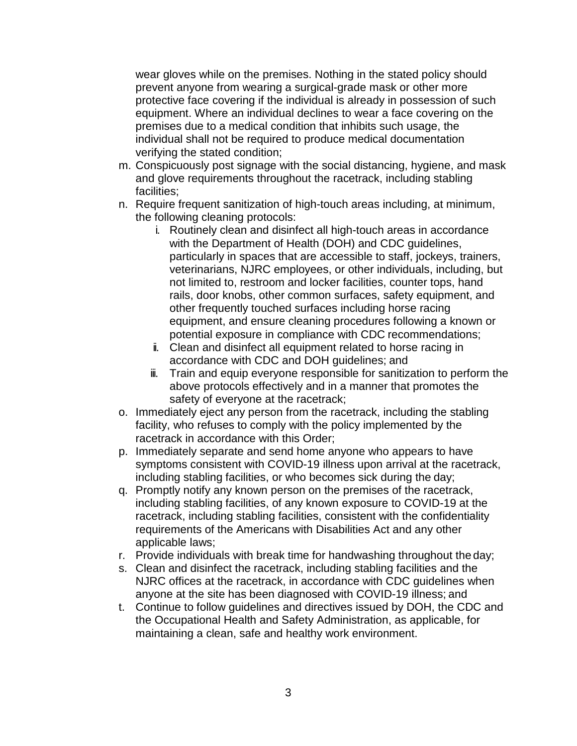wear gloves while on the premises. Nothing in the stated policy should prevent anyone from wearing a surgical-grade mask or other more protective face covering if the individual is already in possession of such equipment. Where an individual declines to wear a face covering on the premises due to a medical condition that inhibits such usage, the individual shall not be required to produce medical documentation verifying the stated condition;

- m. Conspicuously post signage with the social distancing, hygiene, and mask and glove requirements throughout the racetrack, including stabling facilities;
- n. Require frequent sanitization of high-touch areas including, at minimum, the following cleaning protocols:
	- i. Routinely clean and disinfect all high-touch areas in accordance with the Department of Health (DOH) and CDC guidelines, particularly in spaces that are accessible to staff, jockeys, trainers, veterinarians, NJRC employees, or other individuals, including, but not limited to, restroom and locker facilities, counter tops, hand rails, door knobs, other common surfaces, safety equipment, and other frequently touched surfaces including horse racing equipment, and ensure cleaning procedures following a known or potential exposure in compliance with CDC recommendations;
	- ii. Clean and disinfect all equipment related to horse racing in accordance with CDC and DOH guidelines; and
	- iii. Train and equip everyone responsible for sanitization to perform the above protocols effectively and in a manner that promotes the safety of everyone at the racetrack;
- o. Immediately eject any person from the racetrack, including the stabling facility, who refuses to comply with the policy implemented by the racetrack in accordance with this Order;
- p. Immediately separate and send home anyone who appears to have symptoms consistent with COVID-19 illness upon arrival at the racetrack, including stabling facilities, or who becomes sick during the day;
- q. Promptly notify any known person on the premises of the racetrack, including stabling facilities, of any known exposure to COVID-19 at the racetrack, including stabling facilities, consistent with the confidentiality requirements of the Americans with Disabilities Act and any other applicable laws;
- r. Provide individuals with break time for handwashing throughout the day;
- s. Clean and disinfect the racetrack, including stabling facilities and the NJRC offices at the racetrack, in accordance with CDC guidelines when anyone at the site has been diagnosed with COVID-19 illness; and
- t. Continue to follow guidelines and directives issued by DOH, the CDC and the Occupational Health and Safety Administration, as applicable, for maintaining a clean, safe and healthy work environment.